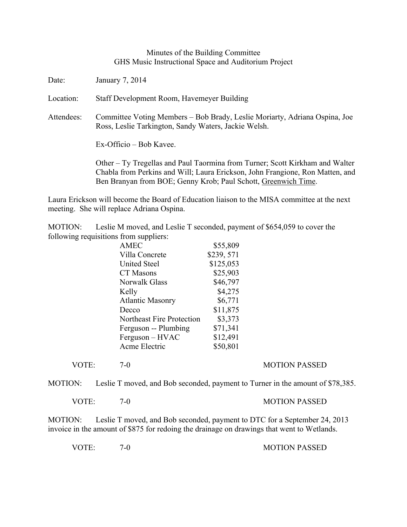## Minutes of the Building Committee GHS Music Instructional Space and Auditorium Project

Date: January 7, 2014

Location: Staff Development Room, Havemeyer Building

Attendees: Committee Voting Members – Bob Brady, Leslie Moriarty, Adriana Ospina, Joe Ross, Leslie Tarkington, Sandy Waters, Jackie Welsh.

Ex-Officio – Bob Kavee.

Other – Ty Tregellas and Paul Taormina from Turner; Scott Kirkham and Walter Chabla from Perkins and Will; Laura Erickson, John Frangione, Ron Matten, and Ben Branyan from BOE; Genny Krob; Paul Schott, Greenwich Time.

Laura Erickson will become the Board of Education liaison to the MISA committee at the next meeting. She will replace Adriana Ospina.

MOTION: Leslie M moved, and Leslie T seconded, payment of \$654,059 to cover the following requisitions from suppliers:

| \$55,809  |
|-----------|
| \$239,571 |
| \$125,053 |
| \$25,903  |
| \$46,797  |
| \$4,275   |
| \$6,771   |
| \$11,875  |
| \$3,373   |
| \$71,341  |
| \$12,491  |
| \$50,801  |
|           |

VOTE: 7-0 7-0 MOTION PASSED

MOTION: Leslie T moved, and Bob seconded, payment to Turner in the amount of \$78,385.

VOTE: 7-0 7-0 MOTION PASSED

MOTION: Leslie T moved, and Bob seconded, payment to DTC for a September 24, 2013 invoice in the amount of \$875 for redoing the drainage on drawings that went to Wetlands.

VOTE: 7-0 7-0 MOTION PASSED